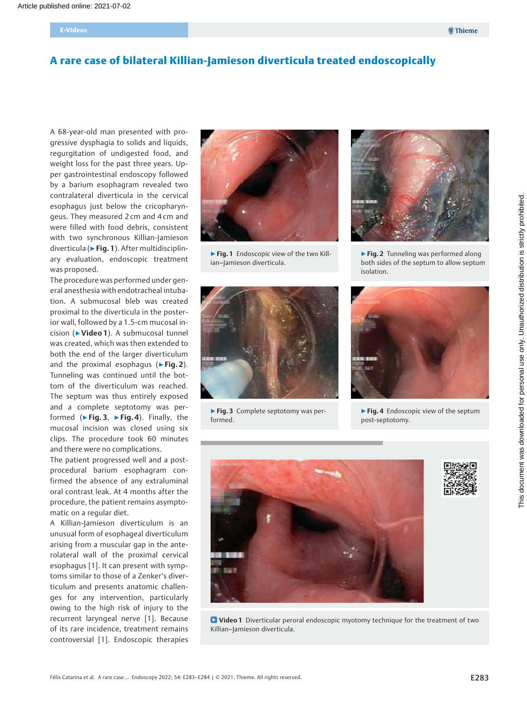# A rare case of bilateral Killian-Jamieson diverticula treated endoscopically

A 68-year-old man presented with progressive dysphagia to solids and liquids, regurgitation of undigested food, and weight loss for the past three years. Upper gastrointestinal endoscopy followed by a barium esophagram revealed two contralateral diverticula in the cervical esophagus just below the cricopharyngeus. They measured 2 cm and 4 cm and were filled with food debris, consistent with two synchronous Killian-Jamieson diverticula (▶Fig. 1). After multidisciplinary evaluation, endoscopic treatment was proposed.

The procedure was performed under general anesthesia with endotracheal intubation. A submucosal bleb was created proximal to the diverticula in the posterior wall, followed by a 1.5-cm mucosal incision (▶Video 1). A submucosal tunnel was created, which was then extended to both the end of the larger diverticulum and the proximal esophagus ( $\triangleright$  Fig. 2). Tunneling was continued until the bottom of the diverticulum was reached. The septum was thus entirely exposed and a complete septotomy was performed ( $\blacktriangleright$  Fig. 3,  $\blacktriangleright$  Fig. 4). Finally, the mucosal incision was closed using six clips. The procedure took 60 minutes and there were no complications.

The patient progressed well and a postprocedural barium esophagram confirmed the absence of any extraluminal oral contrast leak. At 4 months after the procedure, the patient remains asymptomatic on a regular diet.

A Killian-Jamieson diverticulum is an unusual form of esophageal diverticulum arising from a muscular gap in the anterolateral wall of the proximal cervical esophagus [1]. It can present with symptoms similar to those of a Zenker's diverticulum and presents anatomic challenges for any intervention, particularly owing to the high risk of injury to the recurrent laryngeal nerve [1]. Because of its rare incidence, treatment remains controversial [1]. Endoscopic therapies



▶ Fig. 1 Endoscopic view of the two Killian–Jamieson diverticula.



▶ Fig. 3 Complete septotomy was performed.



▶ Fig. 2 Tunneling was performed along both sides of the septum to allow septum isolation.



▶ Fig. 4 Endoscopic view of the septum post-septotomy.



**D** Video 1 Diverticular peroral endoscopic myotomy technique for the treatment of two Killian–Jamieson diverticula.